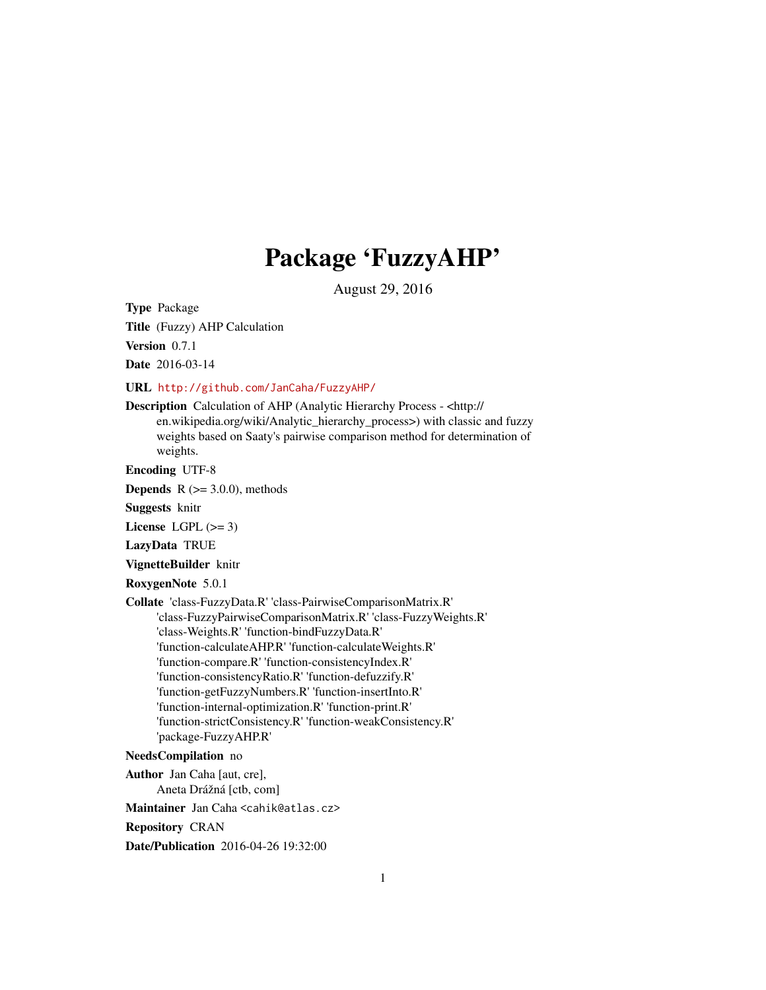# Package 'FuzzyAHP'

August 29, 2016

Type Package

Title (Fuzzy) AHP Calculation

Version 0.7.1

Date 2016-03-14

URL <http://github.com/JanCaha/FuzzyAHP/>

Description Calculation of AHP (Analytic Hierarchy Process - <http:// en.wikipedia.org/wiki/Analytic\_hierarchy\_process>) with classic and fuzzy weights based on Saaty's pairwise comparison method for determination of weights.

Encoding UTF-8

**Depends**  $R$  ( $>= 3.0.0$ ), methods

Suggests knitr

License LGPL  $(>= 3)$ 

LazyData TRUE

VignetteBuilder knitr

RoxygenNote 5.0.1

Collate 'class-FuzzyData.R' 'class-PairwiseComparisonMatrix.R' 'class-FuzzyPairwiseComparisonMatrix.R' 'class-FuzzyWeights.R' 'class-Weights.R' 'function-bindFuzzyData.R' 'function-calculateAHP.R' 'function-calculateWeights.R' 'function-compare.R' 'function-consistencyIndex.R' 'function-consistencyRatio.R' 'function-defuzzify.R' 'function-getFuzzyNumbers.R' 'function-insertInto.R' 'function-internal-optimization.R' 'function-print.R' 'function-strictConsistency.R' 'function-weakConsistency.R' 'package-FuzzyAHP.R'

#### NeedsCompilation no

Author Jan Caha [aut, cre], Aneta Drážná [ctb, com]

Maintainer Jan Caha <cahik@atlas.cz>

Repository CRAN

Date/Publication 2016-04-26 19:32:00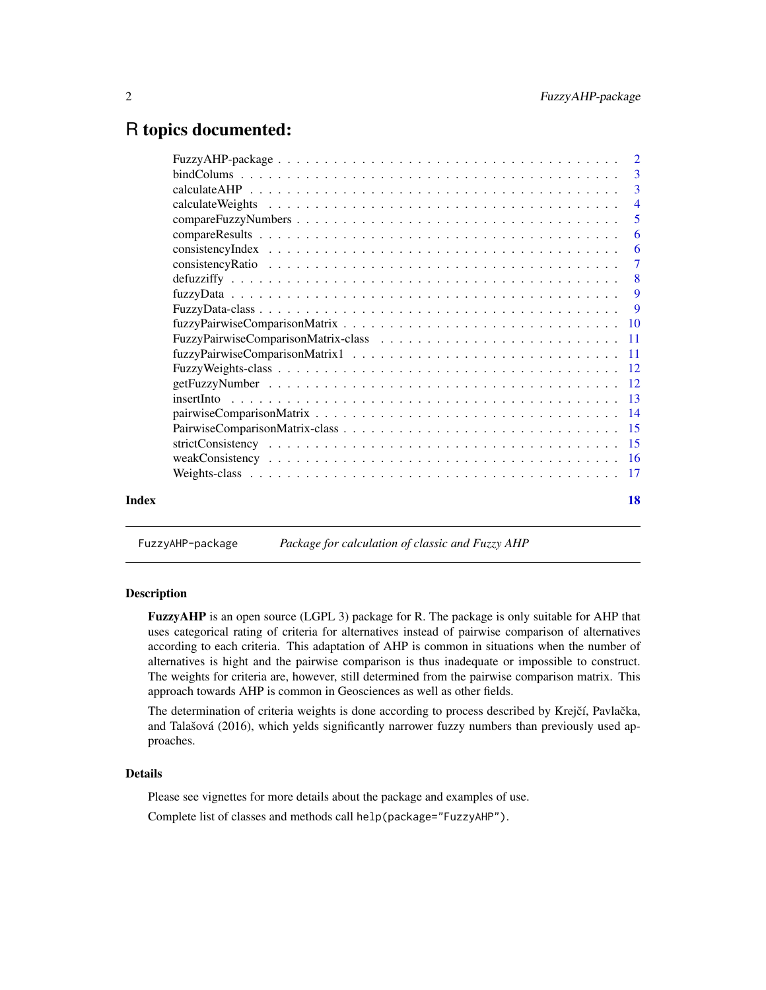# <span id="page-1-0"></span>R topics documented:

| $\overline{4}$<br>$\overline{5}$<br>Index |  |                |
|-------------------------------------------|--|----------------|
|                                           |  |                |
|                                           |  |                |
|                                           |  |                |
|                                           |  |                |
|                                           |  | 6              |
|                                           |  | -6             |
|                                           |  | $\overline{7}$ |
|                                           |  |                |
|                                           |  | 9              |
|                                           |  | $\overline{Q}$ |
|                                           |  |                |
|                                           |  |                |
|                                           |  |                |
|                                           |  |                |
|                                           |  |                |
|                                           |  |                |
|                                           |  |                |
|                                           |  |                |
|                                           |  |                |
|                                           |  |                |
|                                           |  |                |
|                                           |  | 18             |

FuzzyAHP-package *Package for calculation of classic and Fuzzy AHP*

#### Description

FuzzyAHP is an open source (LGPL 3) package for R. The package is only suitable for AHP that uses categorical rating of criteria for alternatives instead of pairwise comparison of alternatives according to each criteria. This adaptation of AHP is common in situations when the number of alternatives is hight and the pairwise comparison is thus inadequate or impossible to construct. The weights for criteria are, however, still determined from the pairwise comparison matrix. This approach towards AHP is common in Geosciences as well as other fields.

The determination of criteria weights is done according to process described by Krejčí, Pavlačka, and Talašová (2016), which yelds significantly narrower fuzzy numbers than previously used approaches.

#### Details

Please see vignettes for more details about the package and examples of use.

Complete list of classes and methods call help(package="FuzzyAHP").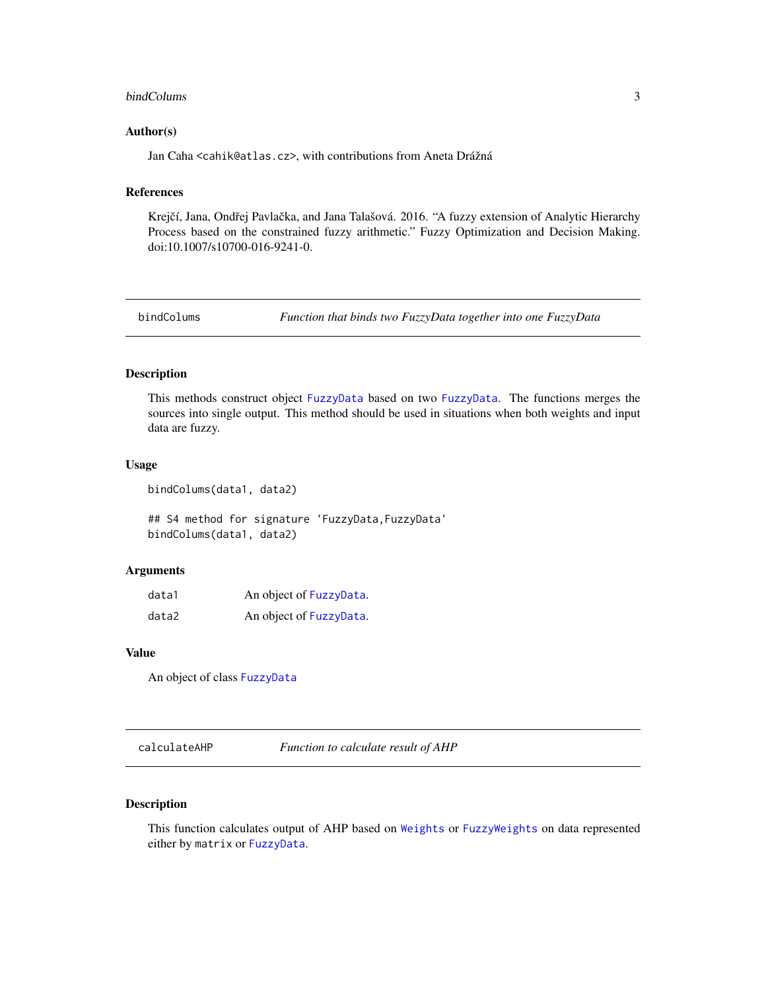#### <span id="page-2-0"></span>bindColums 3

#### Author(s)

Jan Caha <cahik@atlas.cz>, with contributions from Aneta Drážná

### References

Krejčí, Jana, Ondřej Pavlačka, and Jana Talašová. 2016. "A fuzzy extension of Analytic Hierarchy Process based on the constrained fuzzy arithmetic." Fuzzy Optimization and Decision Making. doi:10.1007/s10700-016-9241-0.

bindColums *Function that binds two FuzzyData together into one FuzzyData*

#### Description

This methods construct object [FuzzyData](#page-8-1) based on two [FuzzyData](#page-8-1). The functions merges the sources into single output. This method should be used in situations when both weights and input data are fuzzy.

#### Usage

bindColums(data1, data2)

## S4 method for signature 'FuzzyData,FuzzyData' bindColums(data1, data2)

#### Arguments

| data1 | An object of FuzzyData. |
|-------|-------------------------|
| data2 | An object of FuzzyData. |

#### Value

An object of class [FuzzyData](#page-8-1)

calculateAHP *Function to calculate result of AHP*

# Description

This function calculates output of AHP based on [Weights](#page-16-1) or [FuzzyWeights](#page-11-1) on data represented either by matrix or [FuzzyData](#page-8-1).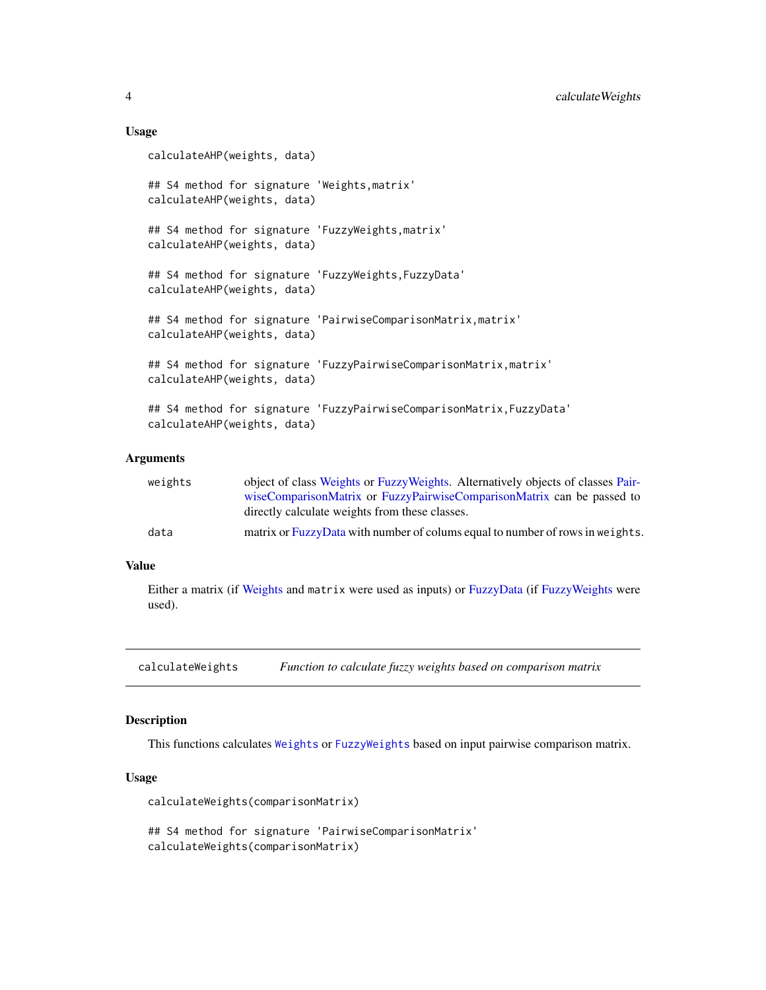#### Usage

```
calculateAHP(weights, data)
## S4 method for signature 'Weights,matrix'
calculateAHP(weights, data)
## S4 method for signature 'FuzzyWeights,matrix'
calculateAHP(weights, data)
## S4 method for signature 'FuzzyWeights,FuzzyData'
calculateAHP(weights, data)
## S4 method for signature 'PairwiseComparisonMatrix,matrix'
calculateAHP(weights, data)
## S4 method for signature 'FuzzyPairwiseComparisonMatrix, matrix'
calculateAHP(weights, data)
## S4 method for signature 'FuzzyPairwiseComparisonMatrix,FuzzyData'
calculateAHP(weights, data)
```
#### Arguments

| weights | object of class Weights or Fuzzy Weights. Alternatively objects of classes Pair- |
|---------|----------------------------------------------------------------------------------|
|         | wiseComparisonMatrix or FuzzyPairwiseComparisonMatrix can be passed to           |
|         | directly calculate weights from these classes.                                   |
| data    | matrix or FuzzyData with number of colums equal to number of rows in weights.    |

#### Value

Either a matrix (if [Weights](#page-16-1) and matrix were used as inputs) or [FuzzyData](#page-8-1) (if [FuzzyWeights](#page-11-1) were used).

calculateWeights *Function to calculate fuzzy weights based on comparison matrix*

#### Description

This functions calculates [Weights](#page-16-1) or [FuzzyWeights](#page-11-1) based on input pairwise comparison matrix.

#### Usage

```
calculateWeights(comparisonMatrix)
```
## S4 method for signature 'PairwiseComparisonMatrix' calculateWeights(comparisonMatrix)

<span id="page-3-0"></span>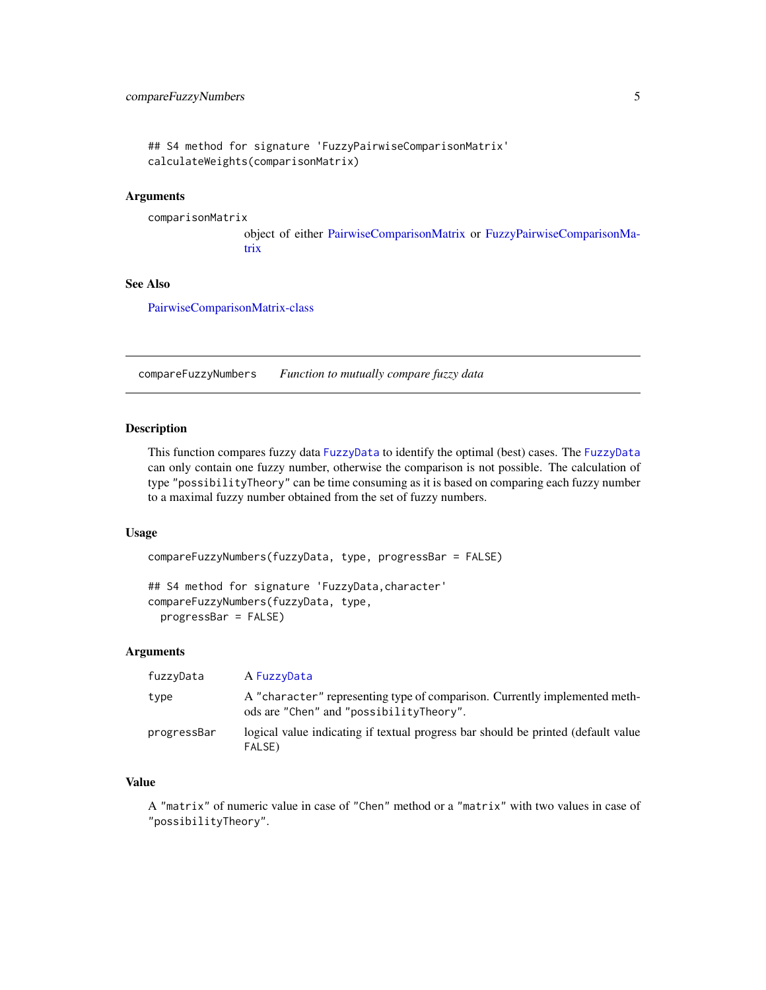```
## S4 method for signature 'FuzzyPairwiseComparisonMatrix'
calculateWeights(comparisonMatrix)
```
#### Arguments

```
comparisonMatrix
                 object of either PairwiseComparisonMatrix or FuzzyPairwiseComparisonMa-
```
# See Also

[PairwiseComparisonMatrix-class](#page-14-1)

[trix](#page-10-1)

compareFuzzyNumbers *Function to mutually compare fuzzy data*

#### Description

This function compares fuzzy data [FuzzyData](#page-8-1) to identify the optimal (best) cases. The [FuzzyData](#page-8-1) can only contain one fuzzy number, otherwise the comparison is not possible. The calculation of type "possibilityTheory" can be time consuming as it is based on comparing each fuzzy number to a maximal fuzzy number obtained from the set of fuzzy numbers.

#### Usage

```
compareFuzzyNumbers(fuzzyData, type, progressBar = FALSE)
## S4 method for signature 'FuzzyData,character'
compareFuzzyNumbers(fuzzyData, type,
 progressBar = FALSE)
```
#### **Arguments**

| fuzzyData   | A FuzzyData                                                                                                           |
|-------------|-----------------------------------------------------------------------------------------------------------------------|
| type        | A "character" representing type of comparison. Currently implemented meth-<br>ods are "Chen" and "possibilityTheory". |
| progressBar | logical value indicating if textual progress bar should be printed (default value<br>FALSE)                           |

#### Value

A "matrix" of numeric value in case of "Chen" method or a "matrix" with two values in case of "possibilityTheory".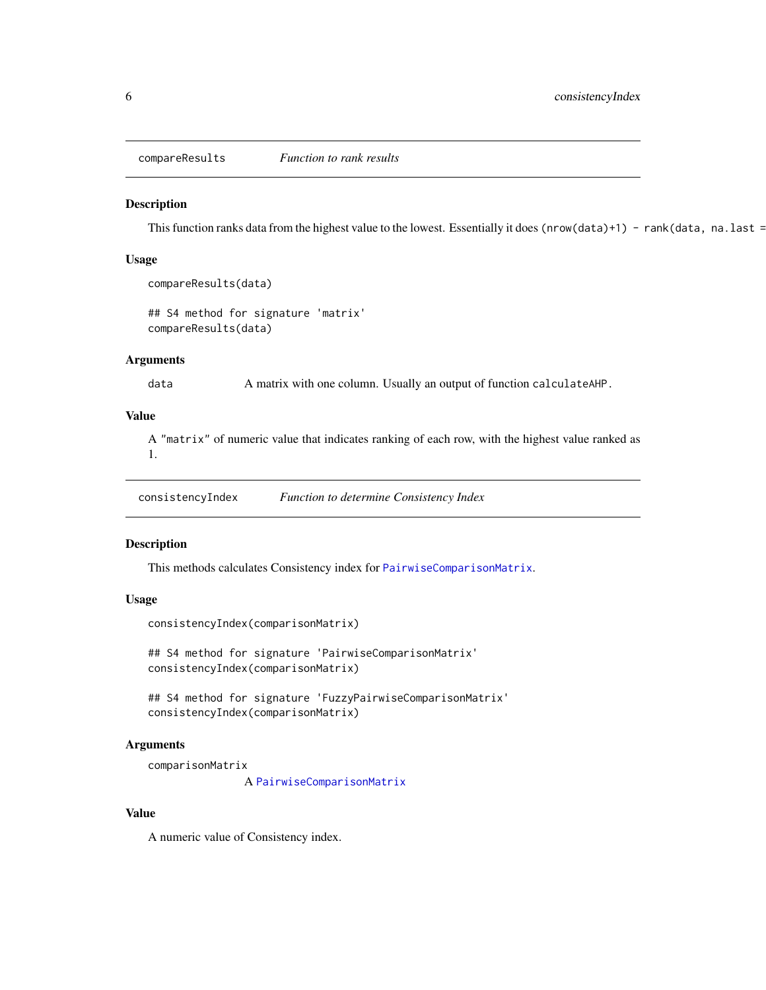<span id="page-5-0"></span>compareResults *Function to rank results*

#### Description

This function ranks data from the highest value to the lowest. Essentially it does (nrow(data)+1) - rank(data, na.last =

#### Usage

```
compareResults(data)
```
## S4 method for signature 'matrix' compareResults(data)

#### Arguments

data A matrix with one column. Usually an output of function calculateAHP.

#### Value

A "matrix" of numeric value that indicates ranking of each row, with the highest value ranked as 1.

consistencyIndex *Function to determine Consistency Index*

#### Description

This methods calculates Consistency index for [PairwiseComparisonMatrix](#page-14-1).

#### Usage

```
consistencyIndex(comparisonMatrix)
```
## S4 method for signature 'PairwiseComparisonMatrix' consistencyIndex(comparisonMatrix)

## S4 method for signature 'FuzzyPairwiseComparisonMatrix' consistencyIndex(comparisonMatrix)

#### Arguments

```
comparisonMatrix
```
A [PairwiseComparisonMatrix](#page-14-1)

### Value

A numeric value of Consistency index.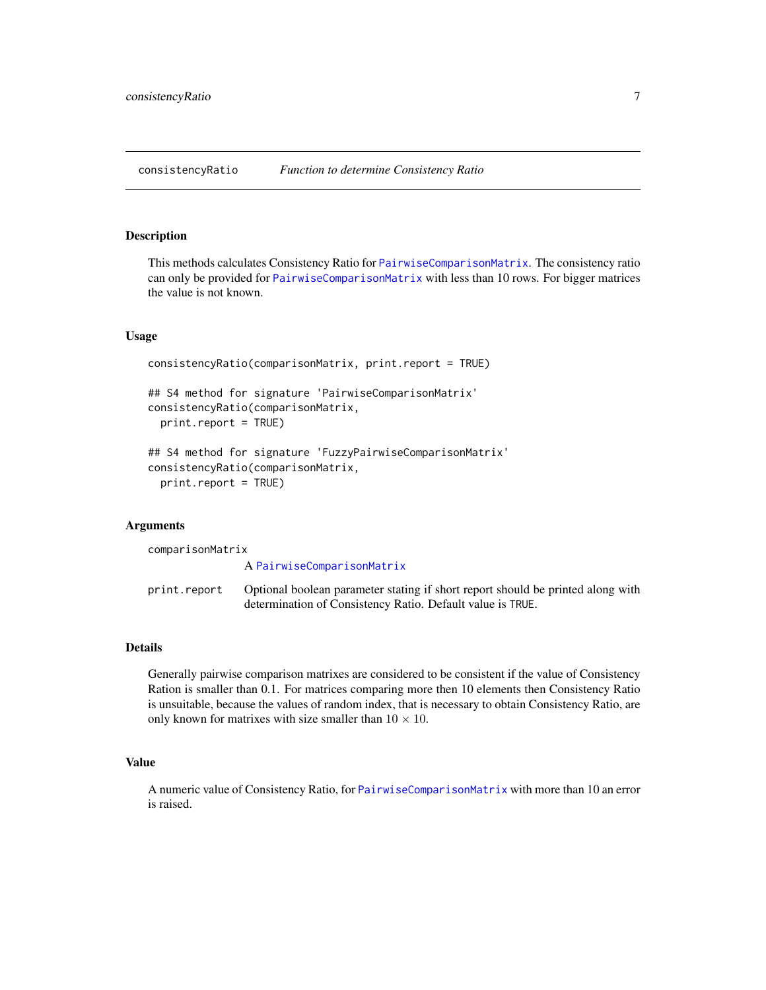<span id="page-6-0"></span>consistencyRatio *Function to determine Consistency Ratio*

#### Description

This methods calculates Consistency Ratio for [PairwiseComparisonMatrix](#page-14-1). The consistency ratio can only be provided for [PairwiseComparisonMatrix](#page-14-1) with less than 10 rows. For bigger matrices the value is not known.

#### Usage

```
consistencyRatio(comparisonMatrix, print.report = TRUE)
```

```
## S4 method for signature 'PairwiseComparisonMatrix'
consistencyRatio(comparisonMatrix,
  print.report = TRUE)
```

```
## S4 method for signature 'FuzzyPairwiseComparisonMatrix'
consistencyRatio(comparisonMatrix,
  print.report = TRUE)
```
#### Arguments

comparisonMatrix A [PairwiseComparisonMatrix](#page-14-1) print.report Optional boolean parameter stating if short report should be printed along with determination of Consistency Ratio. Default value is TRUE.

#### Details

Generally pairwise comparison matrixes are considered to be consistent if the value of Consistency Ration is smaller than 0.1. For matrices comparing more then 10 elements then Consistency Ratio is unsuitable, because the values of random index, that is necessary to obtain Consistency Ratio, are only known for matrixes with size smaller than  $10 \times 10$ .

### Value

A numeric value of Consistency Ratio, for [PairwiseComparisonMatrix](#page-14-1) with more than 10 an error is raised.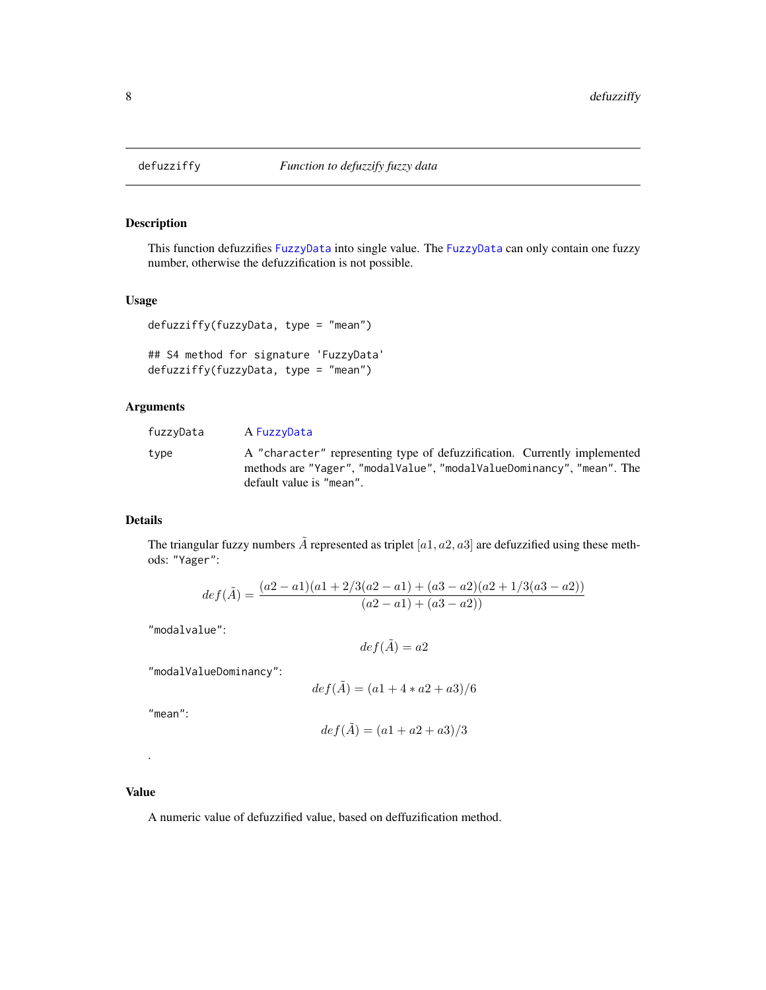<span id="page-7-0"></span>

#### Description

This function defuzzifies [FuzzyData](#page-8-1) into single value. The [FuzzyData](#page-8-1) can only contain one fuzzy number, otherwise the defuzzification is not possible.

#### Usage

```
defuzziffy(fuzzyData, type = "mean")
```

```
## S4 method for signature 'FuzzyData'
defuzziffy(fuzzyData, type = "mean")
```
# Arguments

| fuzzyData | A FuzzyData                                                                                                                                                                    |
|-----------|--------------------------------------------------------------------------------------------------------------------------------------------------------------------------------|
| type      | A "character" representing type of defuzzification. Currently implemented<br>methods are "Yager", "modalValue", "modalValueDominancy", "mean". The<br>default value is "mean". |

#### Details

The triangular fuzzy numbers  $\tilde{A}$  represented as triplet  $[a1, a2, a3]$  are defuzzified using these methods: "Yager":

$$
def(\tilde{A}) = \frac{(a2-a1)(a1+2/3(a2-a1)+(a3-a2)(a2+1/3(a3-a2))}{(a2-a1)+(a3-a2))}
$$

"modalvalue":

$$
def(\tilde{A}) = a2
$$

"modalValueDominancy":

$$
def(\hat{A}) = (a1 + 4 * a2 + a3)/6
$$

"mean":

$$
def(\tilde{A}) = (a1 + a2 + a3)/3
$$

#### Value

.

A numeric value of defuzzified value, based on deffuzification method.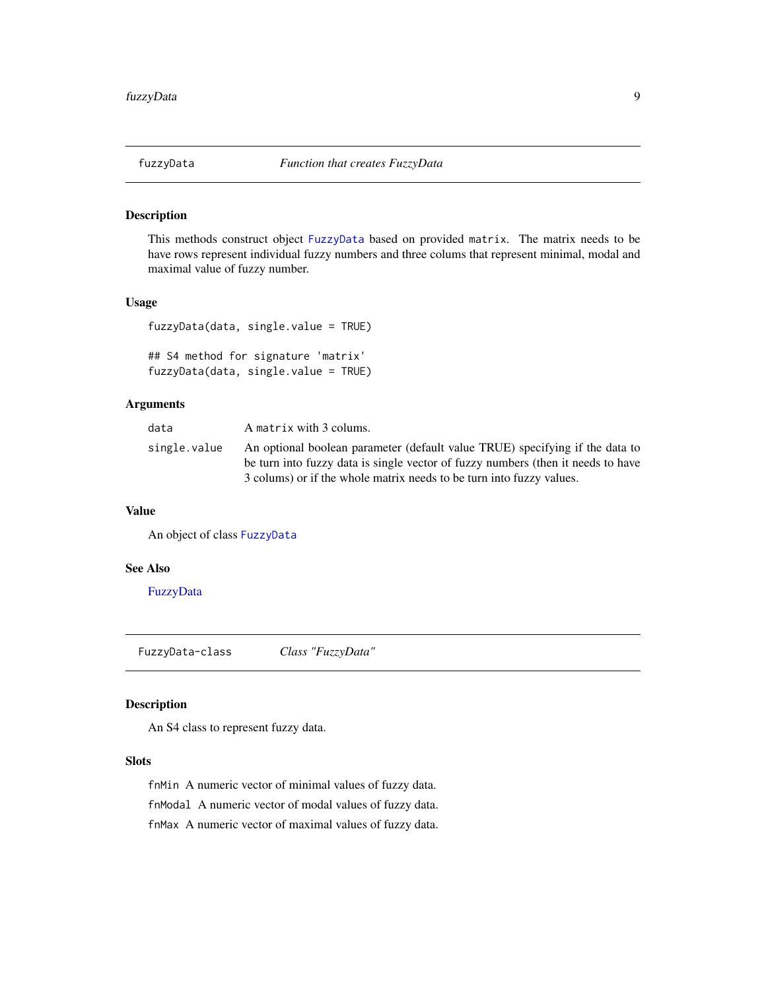<span id="page-8-0"></span>

### Description

This methods construct object [FuzzyData](#page-8-1) based on provided matrix. The matrix needs to be have rows represent individual fuzzy numbers and three colums that represent minimal, modal and maximal value of fuzzy number.

#### Usage

```
fuzzyData(data, single.value = TRUE)
## S4 method for signature 'matrix'
fuzzyData(data, single.value = TRUE)
```
### Arguments

| data         | A matrix with 3 colums.                                                                                                                                                                                                                  |
|--------------|------------------------------------------------------------------------------------------------------------------------------------------------------------------------------------------------------------------------------------------|
| single.value | An optional boolean parameter (default value TRUE) specifying if the data to<br>be turn into fuzzy data is single vector of fuzzy numbers (then it needs to have<br>3 colums) or if the whole matrix needs to be turn into fuzzy values. |

#### Value

An object of class [FuzzyData](#page-8-1)

#### See Also

[FuzzyData](#page-8-1)

<span id="page-8-1"></span>FuzzyData-class *Class "FuzzyData"*

#### Description

An S4 class to represent fuzzy data.

# Slots

fnMin A numeric vector of minimal values of fuzzy data.

fnModal A numeric vector of modal values of fuzzy data.

fnMax A numeric vector of maximal values of fuzzy data.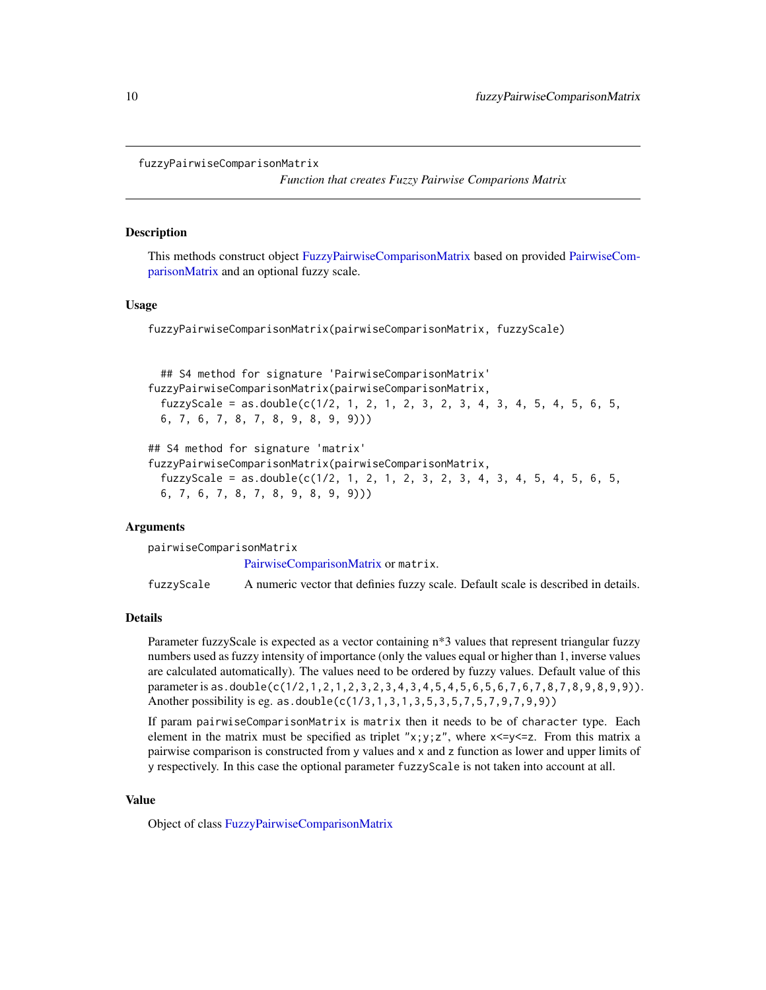```
fuzzyPairwiseComparisonMatrix
```
*Function that creates Fuzzy Pairwise Comparions Matrix*

#### Description

This methods construct object [FuzzyPairwiseComparisonMatrix](#page-10-1) based on provided [PairwiseCom](#page-14-1)[parisonMatrix](#page-14-1) and an optional fuzzy scale.

#### Usage

fuzzyPairwiseComparisonMatrix(pairwiseComparisonMatrix, fuzzyScale)

```
## S4 method for signature 'PairwiseComparisonMatrix'
fuzzyPairwiseComparisonMatrix(pairwiseComparisonMatrix,
 fuzzyScale = as.double(c(1/2, 1, 2, 1, 2, 3, 2, 3, 4, 3, 4, 5, 4, 5, 6, 5,6, 7, 6, 7, 8, 7, 8, 9, 8, 9, 9)))
## S4 method for signature 'matrix'
fuzzyPairwiseComparisonMatrix(pairwiseComparisonMatrix,
 fuzzyScale = as.double(c(1/2, 1, 2, 1, 2, 3, 2, 3, 4, 3, 4, 5, 4, 5, 6, 5,
```
#### Arguments

pairwiseComparisonMatrix [PairwiseComparisonMatrix](#page-14-1) or matrix. fuzzyScale A numeric vector that definies fuzzy scale. Default scale is described in details.

#### Details

Parameter fuzzyScale is expected as a vector containing n\*3 values that represent triangular fuzzy numbers used as fuzzy intensity of importance (only the values equal or higher than 1, inverse values are calculated automatically). The values need to be ordered by fuzzy values. Default value of this parameter is as.double(c(1/2, 1, 2, 1, 2, 3, 2, 3, 4, 3, 4, 5, 4, 5, 6, 5, 6, 7, 6, 7, 8, 7, 8, 9, 8, 9, 9)). Another possibility is eg. as.double(c(1/3,1,3,1,3,5,3,5,7,5,7,9,7,9,9))

If param pairwiseComparisonMatrix is matrix then it needs to be of character type. Each element in the matrix must be specified as triplet " $x$ ;  $y$ ; z", where  $x \le y \le z$ . From this matrix a pairwise comparison is constructed from y values and x and z function as lower and upper limits of y respectively. In this case the optional parameter fuzzyScale is not taken into account at all.

#### Value

Object of class [FuzzyPairwiseComparisonMatrix](#page-10-1)

6, 7, 6, 7, 8, 7, 8, 9, 8, 9, 9)))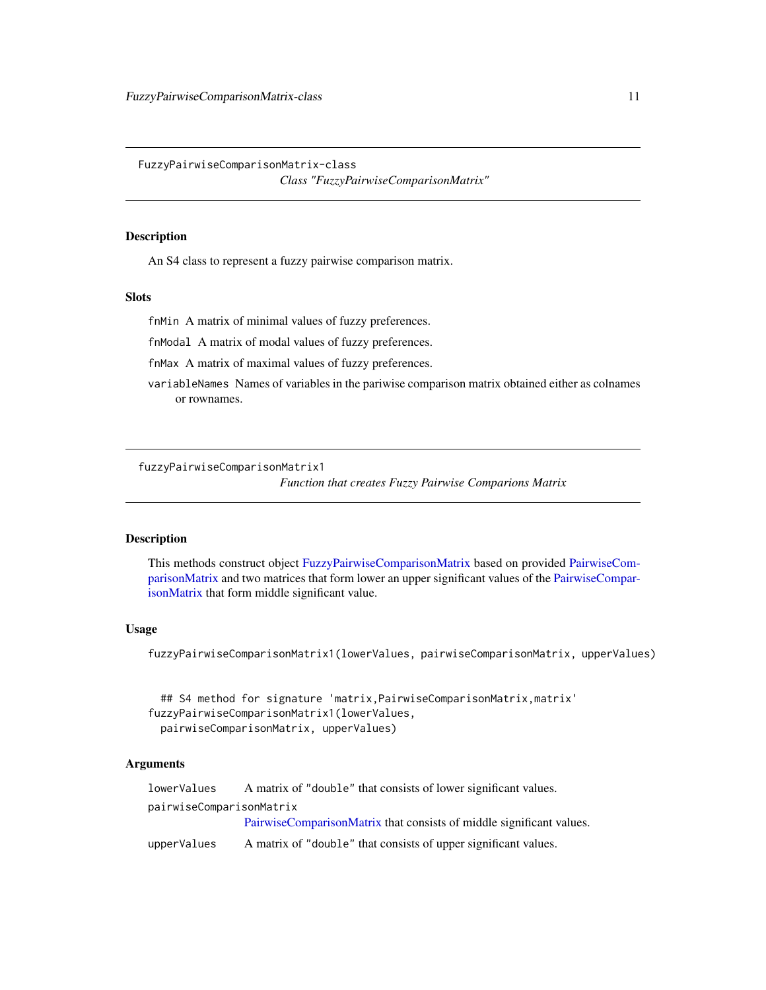<span id="page-10-1"></span><span id="page-10-0"></span>FuzzyPairwiseComparisonMatrix-class

*Class "FuzzyPairwiseComparisonMatrix"*

#### **Description**

An S4 class to represent a fuzzy pairwise comparison matrix.

#### Slots

fnMin A matrix of minimal values of fuzzy preferences.

fnModal A matrix of modal values of fuzzy preferences.

fnMax A matrix of maximal values of fuzzy preferences.

variableNames Names of variables in the pariwise comparison matrix obtained either as colnames or rownames.

fuzzyPairwiseComparisonMatrix1

*Function that creates Fuzzy Pairwise Comparions Matrix*

#### Description

This methods construct object [FuzzyPairwiseComparisonMatrix](#page-10-1) based on provided [PairwiseCom](#page-14-1)[parisonMatrix](#page-14-1) and two matrices that form lower an upper significant values of the [PairwiseCompar](#page-14-1)[isonMatrix](#page-14-1) that form middle significant value.

#### Usage

fuzzyPairwiseComparisonMatrix1(lowerValues, pairwiseComparisonMatrix, upperValues)

## S4 method for signature 'matrix, PairwiseComparisonMatrix, matrix' fuzzyPairwiseComparisonMatrix1(lowerValues, pairwiseComparisonMatrix, upperValues)

### Arguments

lowerValues A matrix of "double" that consists of lower significant values. pairwiseComparisonMatrix [PairwiseComparisonMatrix](#page-14-1) that consists of middle significant values. upperValues A matrix of "double" that consists of upper significant values.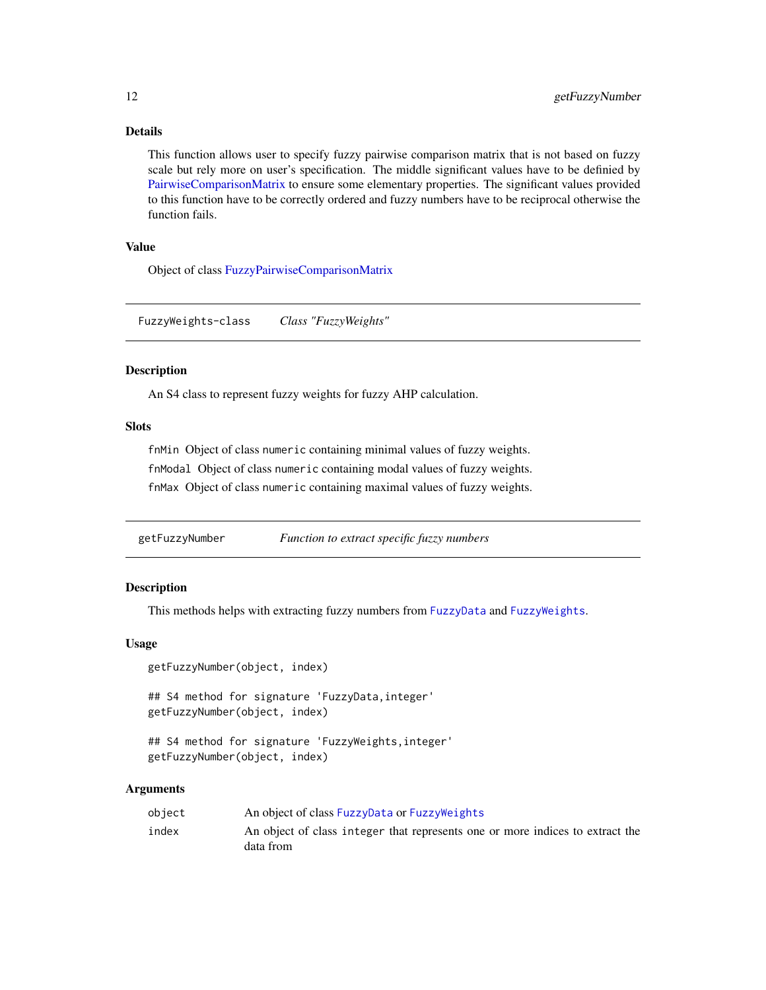### <span id="page-11-0"></span>Details

This function allows user to specify fuzzy pairwise comparison matrix that is not based on fuzzy scale but rely more on user's specification. The middle significant values have to be definied by [PairwiseComparisonMatrix](#page-14-1) to ensure some elementary properties. The significant values provided to this function have to be correctly ordered and fuzzy numbers have to be reciprocal otherwise the function fails.

#### Value

Object of class [FuzzyPairwiseComparisonMatrix](#page-10-1)

<span id="page-11-1"></span>FuzzyWeights-class *Class "FuzzyWeights"*

#### Description

An S4 class to represent fuzzy weights for fuzzy AHP calculation.

#### **Slots**

fnMin Object of class numeric containing minimal values of fuzzy weights. fnModal Object of class numeric containing modal values of fuzzy weights. fnMax Object of class numeric containing maximal values of fuzzy weights.

getFuzzyNumber *Function to extract specific fuzzy numbers*

#### **Description**

This methods helps with extracting fuzzy numbers from [FuzzyData](#page-8-1) and [FuzzyWeights](#page-11-1).

#### Usage

```
getFuzzyNumber(object, index)
```
## S4 method for signature 'FuzzyData, integer' getFuzzyNumber(object, index)

```
## S4 method for signature 'FuzzyWeights,integer'
getFuzzyNumber(object, index)
```
#### Arguments

| object | An object of class FuzzyData or FuzzyWeights                                               |
|--------|--------------------------------------------------------------------------------------------|
| index  | An object of class integer that represents one or more indices to extract the<br>data from |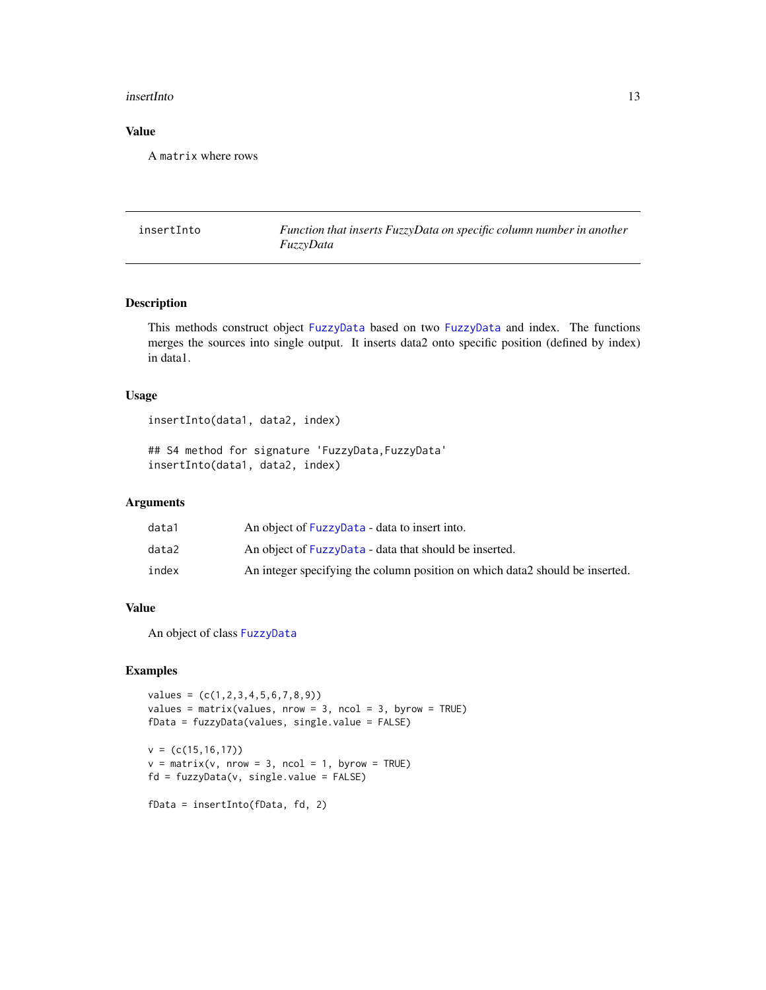#### <span id="page-12-0"></span>insertInto 13

# Value

A matrix where rows

insertInto *Function that inserts FuzzyData on specific column number in another FuzzyData*

#### Description

This methods construct object [FuzzyData](#page-8-1) based on two [FuzzyData](#page-8-1) and index. The functions merges the sources into single output. It inserts data2 onto specific position (defined by index) in data1.

#### Usage

insertInto(data1, data2, index)

## S4 method for signature 'FuzzyData,FuzzyData' insertInto(data1, data2, index)

### Arguments

| data1 | An object of FuzzyData - data to insert into.                                 |
|-------|-------------------------------------------------------------------------------|
| data2 | An object of FuzzyData - data that should be inserted.                        |
| index | An integer specifying the column position on which data 2 should be inserted. |

### Value

An object of class [FuzzyData](#page-8-1)

### Examples

```
values = (c(1,2,3,4,5,6,7,8,9))
values = matrix(values, nrow = 3, ncol = 3, byrow = TRUE)
fData = fuzzyData(values, single.value = FALSE)
v = (c(15, 16, 17))v = matrix(v, nrow = 3, ncol = 1, byrow = TRUE)fd = fuzzyData(v, single.value = FALSE)
fData = insertInto(fData, fd, 2)
```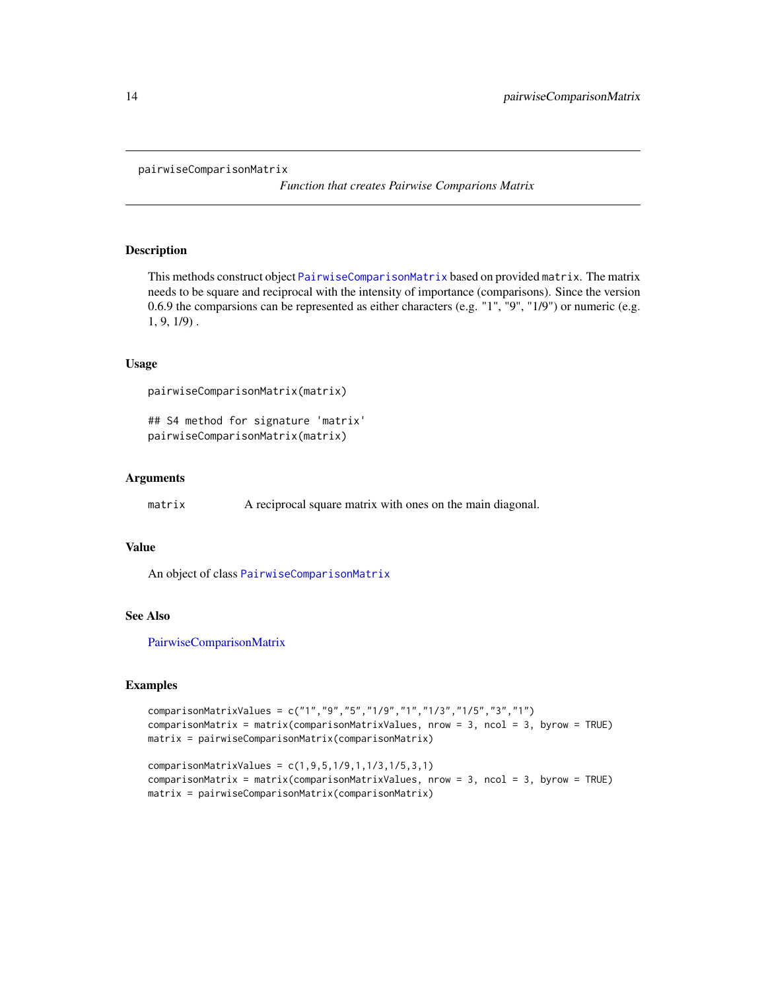#### <span id="page-13-0"></span>pairwiseComparisonMatrix

*Function that creates Pairwise Comparions Matrix*

#### Description

This methods construct object [PairwiseComparisonMatrix](#page-14-1) based on provided matrix. The matrix needs to be square and reciprocal with the intensity of importance (comparisons). Since the version 0.6.9 the comparsions can be represented as either characters (e.g. "1", "9", "1/9") or numeric (e.g. 1, 9, 1/9) .

### Usage

```
pairwiseComparisonMatrix(matrix)
```
## S4 method for signature 'matrix' pairwiseComparisonMatrix(matrix)

#### Arguments

matrix A reciprocal square matrix with ones on the main diagonal.

#### Value

An object of class [PairwiseComparisonMatrix](#page-14-1)

#### See Also

[PairwiseComparisonMatrix](#page-14-1)

#### Examples

```
comparisonMatrixValues = c("1","9","5","1/9","1","1/3","1/5","3","1")
comparisonMatrix = matrix(comparisonMatrixValues, nrow = 3, ncol = 3, byrow = TRUE)
matrix = pairwiseComparisonMatrix(comparisonMatrix)
```

```
comparisonMatrixValues = c(1,9,5,1/9,1,1/3,1/5,3,1)
comparisonMatrix = matrix(comparisonMatrixValues, nrow = 3, ncol = 3, byrow = TRUE)
matrix = pairwiseComparisonMatrix(comparisonMatrix)
```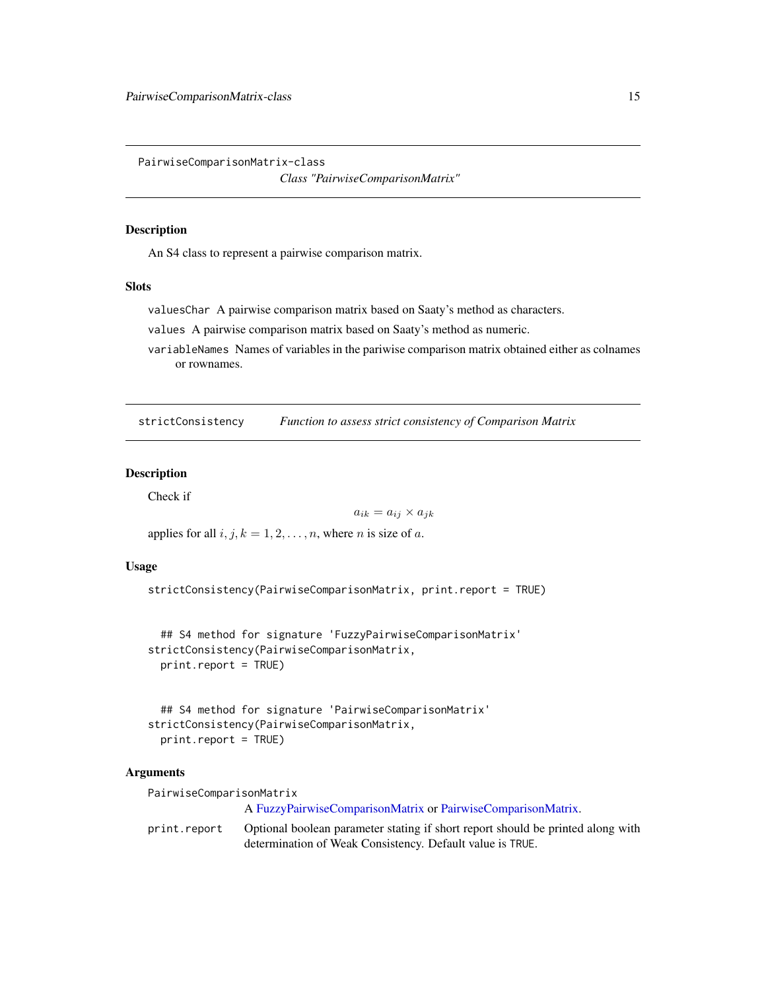<span id="page-14-1"></span><span id="page-14-0"></span>PairwiseComparisonMatrix-class

*Class "PairwiseComparisonMatrix"*

#### Description

An S4 class to represent a pairwise comparison matrix.

#### **Slots**

valuesChar A pairwise comparison matrix based on Saaty's method as characters.

values A pairwise comparison matrix based on Saaty's method as numeric.

variableNames Names of variables in the pariwise comparison matrix obtained either as colnames or rownames.

strictConsistency *Function to assess strict consistency of Comparison Matrix*

#### Description

Check if

$$
a_{ik} = a_{ij} \times a_{jk}
$$

applies for all  $i, j, k = 1, 2, \ldots, n$ , where *n* is size of *a*.

#### Usage

```
strictConsistency(PairwiseComparisonMatrix, print.report = TRUE)
```

```
## S4 method for signature 'FuzzyPairwiseComparisonMatrix'
strictConsistency(PairwiseComparisonMatrix,
 print.report = TRUE)
```

```
## S4 method for signature 'PairwiseComparisonMatrix'
strictConsistency(PairwiseComparisonMatrix,
 print.report = TRUE)
```
#### **Arguments**

PairwiseComparisonMatrix

A [FuzzyPairwiseComparisonMatrix](#page-10-1) or [PairwiseComparisonMatrix.](#page-14-1)

print.report Optional boolean parameter stating if short report should be printed along with determination of Weak Consistency. Default value is TRUE.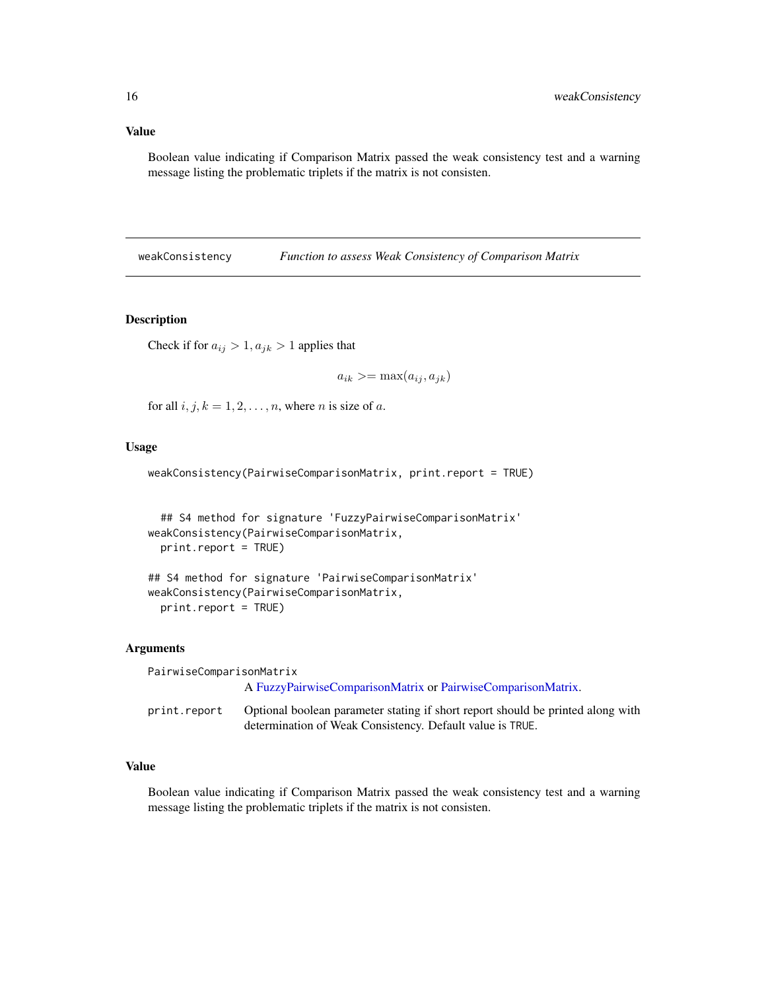#### <span id="page-15-0"></span>Value

Boolean value indicating if Comparison Matrix passed the weak consistency test and a warning message listing the problematic triplets if the matrix is not consisten.

weakConsistency *Function to assess Weak Consistency of Comparison Matrix*

#### Description

Check if for  $a_{ij} > 1, a_{jk} > 1$  applies that

$$
a_{ik} >= \max(a_{ij}, a_{jk})
$$

for all  $i, j, k = 1, 2, \dots, n$ , where *n* is size of *a*.

### Usage

weakConsistency(PairwiseComparisonMatrix, print.report = TRUE)

## S4 method for signature 'FuzzyPairwiseComparisonMatrix' weakConsistency(PairwiseComparisonMatrix, print.report = TRUE)

```
## S4 method for signature 'PairwiseComparisonMatrix'
weakConsistency(PairwiseComparisonMatrix,
 print.report = TRUE)
```
#### Arguments

| PairwiseComparisonMatrix |                                                                                 |
|--------------------------|---------------------------------------------------------------------------------|
|                          | A FuzzyPairwiseComparisonMatrix or PairwiseComparisonMatrix.                    |
| print.report             | Optional boolean parameter stating if short report should be printed along with |
|                          | determination of Weak Consistency. Default value is TRUE.                       |

#### Value

Boolean value indicating if Comparison Matrix passed the weak consistency test and a warning message listing the problematic triplets if the matrix is not consisten.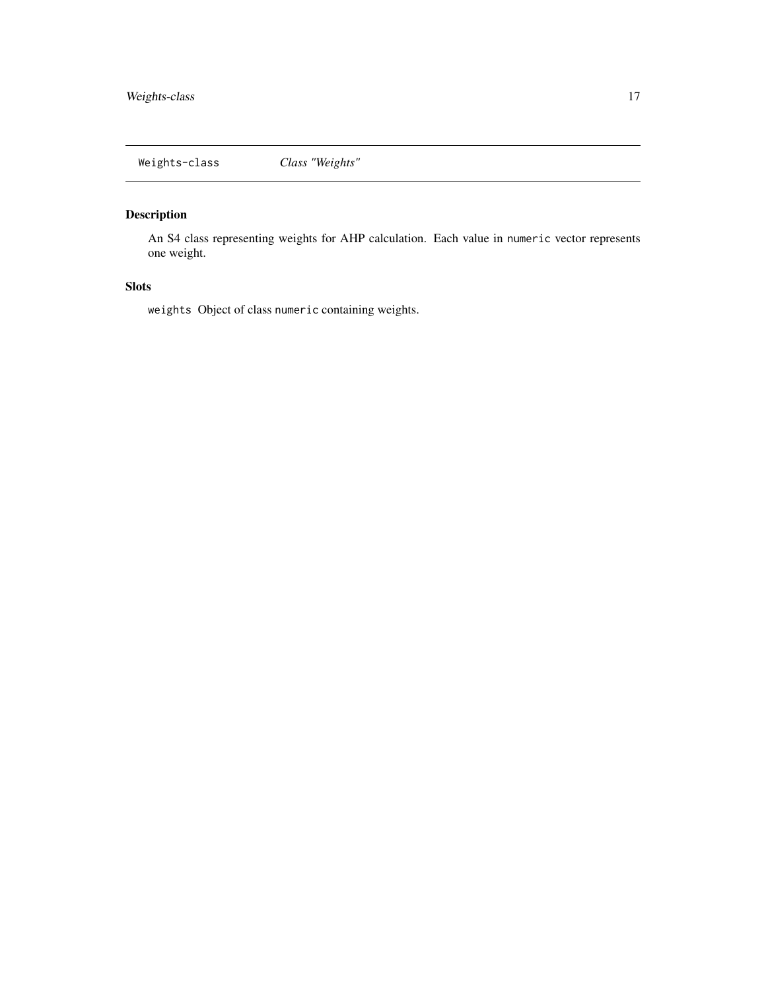<span id="page-16-1"></span><span id="page-16-0"></span>Weights-class *Class "Weights"*

# Description

An S4 class representing weights for AHP calculation. Each value in numeric vector represents one weight.

# Slots

weights Object of class numeric containing weights.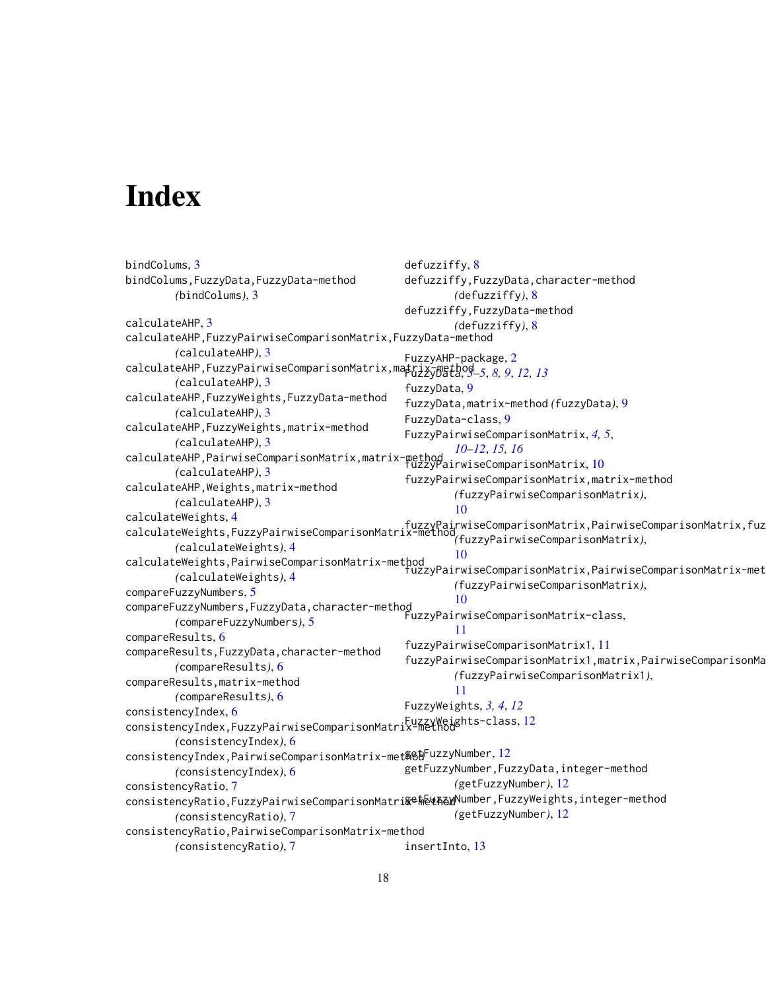# <span id="page-17-0"></span>Index

```
bindColums, 3
bindColums,FuzzyData,FuzzyData-method
        (bindColums), 3
calculateAHP, 3
calculateAHP,FuzzyPairwiseComparisonMatrix,FuzzyData-method
        (calculateAHP), 3
calculateAHP,FuzzyPairwiseComparisonMatrix,matrix-method
FuzzyData, 3–5, 8, 9, 12, 13
        (calculateAHP), 3
calculateAHP,FuzzyWeights,FuzzyData-method
        (calculateAHP), 3
calculateAHP,FuzzyWeights,matrix-method
        (calculateAHP), 3
calculateAHP,PairwiseComparisonMatrix,matrix-method<br>(alculateAHP) 2
        (calculateAHP), 3
calculateAHP,Weights,matrix-method
        (calculateAHP), 3
calculateWeights, 4
calculateWeights,+<br>calculateWeights,FuzzyPairwiseComparisonMatrix-method<sub>/furnu</sub>paimuiseComparisonMatrix,huz
        (calculateWeights), 4
calculateWeights,PairwiseComparisonMatrix-method
        (calculateWeights), 4
compareFuzzyNumbers, 5
compareFuzzyNumbers,FuzzyData,character-method
        (compareFuzzyNumbers), 5
compareResults, 6
compareResults,FuzzyData,character-method
        (compareResults), 6
compareResults,matrix-method
        (compareResults), 6
consistencyIndex, 6
consistencyIndex,FuzzyPairwiseComparisonMatrix-method
FuzzyWeights-class, 12
        (consistencyIndex), 6
12
        (consistencyIndex), 6
consistencyRatio, 7
consistencyRatio,FuzzyPairwiseComparisonMatri&∈#&\#ZaWNumber,FuzzyWeights,integer-method
        (consistencyRatio), 7
consistencyRatio,PairwiseComparisonMatrix-method
        (consistencyRatio), 7
                                              defuzziffy, 8
                                              defuzziffy,FuzzyData,character-method
                                                      (defuzziffy), 8
                                              defuzziffy,FuzzyData-method
                                                      (defuzziffy), 8
                                              FuzzyAHP-package, 2
                                              fuzzyData, 9
                                              fuzzyData,matrix-method (fuzzyData), 9
                                              FuzzyData-class, 9
                                              FuzzyPairwiseComparisonMatrix, 4, 5,
                                                      10–12, 15, 16
                                              fuzzyPairwiseComparisonMatrix,matrix-method
                                                      (fuzzyPairwiseComparisonMatrix),
                                                      10
                                                      (fuzzyPairwiseComparisonMatrix),
                                                      10
                                              fuzzyPairwiseComparisonMatrix,PairwiseComparisonMatrix-method
                                                      (fuzzyPairwiseComparisonMatrix),
                                              FuzzyPairwiseComparisonMatrix-class,
                                                      11
                                              fuzzyPairwiseComparisonMatrix1, 11
                                              fuzzyPairwiseComparisonMatrix1,matrix,PairwiseComparisonMa
                                                      (fuzzyPairwiseComparisonMatrix1),
                                                      11
                                              FuzzyWeights, 3, 4, 12
                                              getFuzzyNumber,FuzzyData,integer-method
                                                      (getFuzzyNumber), 12
                                                      (getFuzzyNumber), 12
                                              insertInto, 13
```